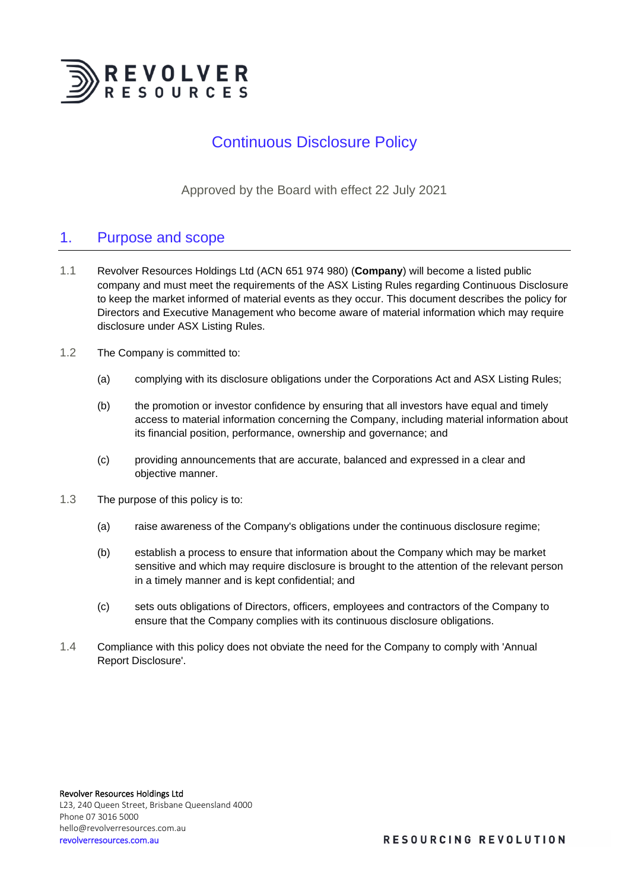

# Continuous Disclosure Policy

Approved by the Board with effect 22 July 2021

# 1. Purpose and scope

- 1.1 Revolver Resources Holdings Ltd (ACN 651 974 980) (**Company**) will become a listed public company and must meet the requirements of the ASX Listing Rules regarding Continuous Disclosure to keep the market informed of material events as they occur. This document describes the policy for Directors and Executive Management who become aware of material information which may require disclosure under ASX Listing Rules.
- 1.2 The Company is committed to:
	- (a) complying with its disclosure obligations under the Corporations Act and ASX Listing Rules;
	- (b) the promotion or investor confidence by ensuring that all investors have equal and timely access to material information concerning the Company, including material information about its financial position, performance, ownership and governance; and
	- (c) providing announcements that are accurate, balanced and expressed in a clear and objective manner.
- 1.3 The purpose of this policy is to:
	- (a) raise awareness of the Company's obligations under the continuous disclosure regime;
	- (b) establish a process to ensure that information about the Company which may be market sensitive and which may require disclosure is brought to the attention of the relevant person in a timely manner and is kept confidential; and
	- (c) sets outs obligations of Directors, officers, employees and contractors of the Company to ensure that the Company complies with its continuous disclosure obligations.
- 1.4 Compliance with this policy does not obviate the need for the Company to comply with 'Annual Report Disclosure'.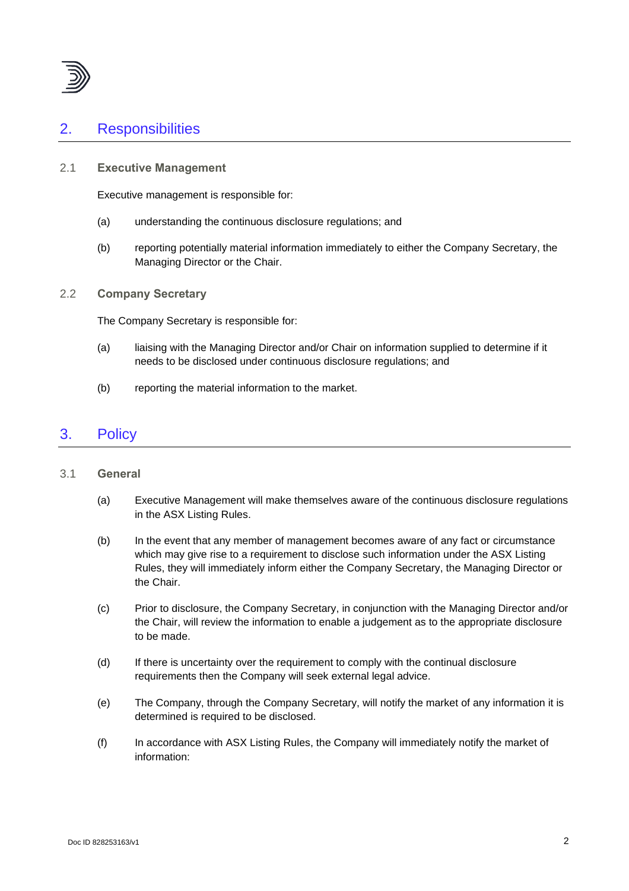

# 2. Responsibilities

#### 2.1 **Executive Management**

Executive management is responsible for:

- (a) understanding the continuous disclosure regulations; and
- (b) reporting potentially material information immediately to either the Company Secretary, the Managing Director or the Chair.

#### 2.2 **Company Secretary**

The Company Secretary is responsible for:

- (a) liaising with the Managing Director and/or Chair on information supplied to determine if it needs to be disclosed under continuous disclosure regulations; and
- (b) reporting the material information to the market.

## 3. Policy

#### 3.1 **General**

- (a) Executive Management will make themselves aware of the continuous disclosure regulations in the ASX Listing Rules.
- (b) In the event that any member of management becomes aware of any fact or circumstance which may give rise to a requirement to disclose such information under the ASX Listing Rules, they will immediately inform either the Company Secretary, the Managing Director or the Chair.
- (c) Prior to disclosure, the Company Secretary, in conjunction with the Managing Director and/or the Chair, will review the information to enable a judgement as to the appropriate disclosure to be made.
- (d) If there is uncertainty over the requirement to comply with the continual disclosure requirements then the Company will seek external legal advice.
- (e) The Company, through the Company Secretary, will notify the market of any information it is determined is required to be disclosed.
- (f) In accordance with ASX Listing Rules, the Company will immediately notify the market of information: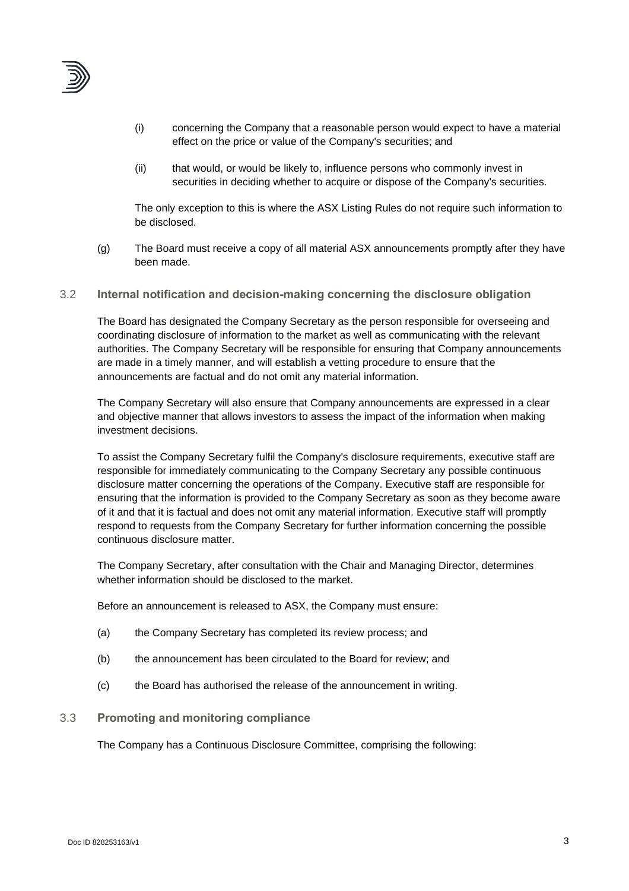

- (i) concerning the Company that a reasonable person would expect to have a material effect on the price or value of the Company's securities; and
- (ii) that would, or would be likely to, influence persons who commonly invest in securities in deciding whether to acquire or dispose of the Company's securities.

The only exception to this is where the ASX Listing Rules do not require such information to be disclosed.

- (g) The Board must receive a copy of all material ASX announcements promptly after they have been made.
- 3.2 **Internal notification and decision-making concerning the disclosure obligation**

The Board has designated the Company Secretary as the person responsible for overseeing and coordinating disclosure of information to the market as well as communicating with the relevant authorities. The Company Secretary will be responsible for ensuring that Company announcements are made in a timely manner, and will establish a vetting procedure to ensure that the announcements are factual and do not omit any material information.

The Company Secretary will also ensure that Company announcements are expressed in a clear and objective manner that allows investors to assess the impact of the information when making investment decisions.

To assist the Company Secretary fulfil the Company's disclosure requirements, executive staff are responsible for immediately communicating to the Company Secretary any possible continuous disclosure matter concerning the operations of the Company. Executive staff are responsible for ensuring that the information is provided to the Company Secretary as soon as they become aware of it and that it is factual and does not omit any material information. Executive staff will promptly respond to requests from the Company Secretary for further information concerning the possible continuous disclosure matter.

The Company Secretary, after consultation with the Chair and Managing Director, determines whether information should be disclosed to the market.

Before an announcement is released to ASX, the Company must ensure:

- (a) the Company Secretary has completed its review process; and
- (b) the announcement has been circulated to the Board for review; and
- (c) the Board has authorised the release of the announcement in writing.

#### 3.3 **Promoting and monitoring compliance**

The Company has a Continuous Disclosure Committee, comprising the following: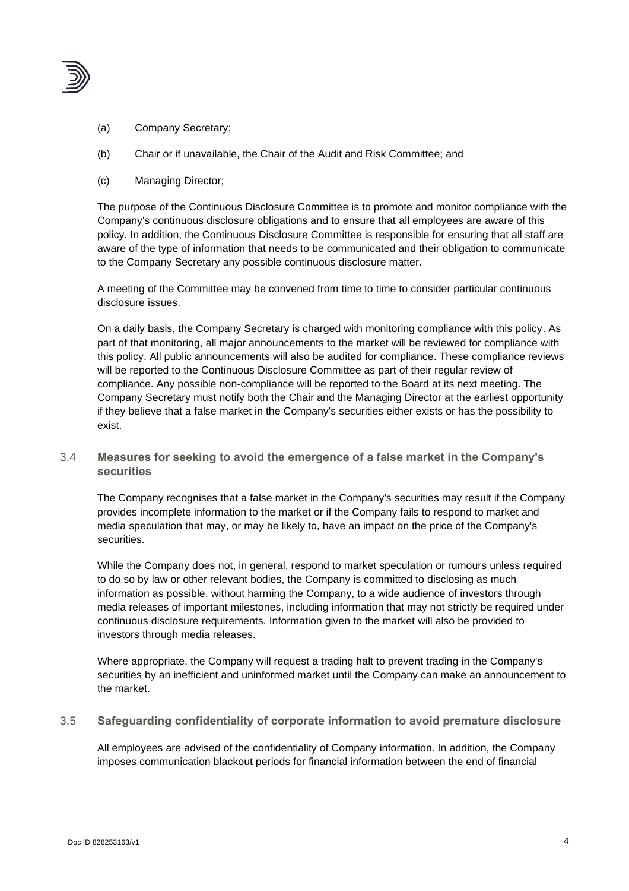

- (a) Company Secretary;
- (b) Chair or if unavailable, the Chair of the Audit and Risk Committee; and
- (c) Managing Director;

The purpose of the Continuous Disclosure Committee is to promote and monitor compliance with the Company's continuous disclosure obligations and to ensure that all employees are aware of this policy. In addition, the Continuous Disclosure Committee is responsible for ensuring that all staff are aware of the type of information that needs to be communicated and their obligation to communicate to the Company Secretary any possible continuous disclosure matter.

A meeting of the Committee may be convened from time to time to consider particular continuous disclosure issues.

On a daily basis, the Company Secretary is charged with monitoring compliance with this policy. As part of that monitoring, all major announcements to the market will be reviewed for compliance with this policy. All public announcements will also be audited for compliance. These compliance reviews will be reported to the Continuous Disclosure Committee as part of their regular review of compliance. Any possible non-compliance will be reported to the Board at its next meeting. The Company Secretary must notify both the Chair and the Managing Director at the earliest opportunity if they believe that a false market in the Company's securities either exists or has the possibility to exist.

#### 3.4 **Measures for seeking to avoid the emergence of a false market in the Company's securities**

The Company recognises that a false market in the Company's securities may result if the Company provides incomplete information to the market or if the Company fails to respond to market and media speculation that may, or may be likely to, have an impact on the price of the Company's securities.

While the Company does not, in general, respond to market speculation or rumours unless required to do so by law or other relevant bodies, the Company is committed to disclosing as much information as possible, without harming the Company, to a wide audience of investors through media releases of important milestones, including information that may not strictly be required under continuous disclosure requirements. Information given to the market will also be provided to investors through media releases.

Where appropriate, the Company will request a trading halt to prevent trading in the Company's securities by an inefficient and uninformed market until the Company can make an announcement to the market.

#### 3.5 **Safeguarding confidentiality of corporate information to avoid premature disclosure**

All employees are advised of the confidentiality of Company information. In addition, the Company imposes communication blackout periods for financial information between the end of financial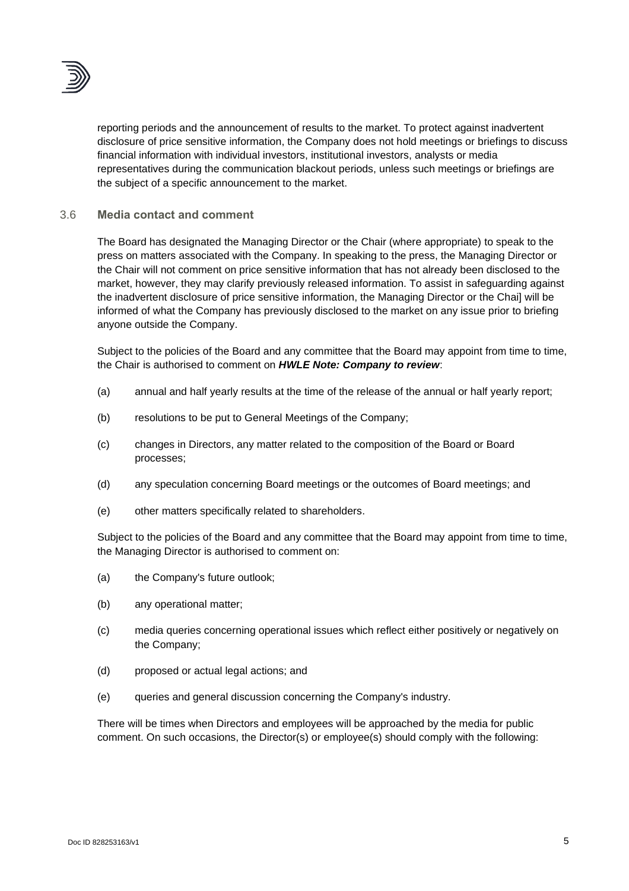

reporting periods and the announcement of results to the market. To protect against inadvertent disclosure of price sensitive information, the Company does not hold meetings or briefings to discuss financial information with individual investors, institutional investors, analysts or media representatives during the communication blackout periods, unless such meetings or briefings are the subject of a specific announcement to the market.

#### 3.6 **Media contact and comment**

The Board has designated the Managing Director or the Chair (where appropriate) to speak to the press on matters associated with the Company. In speaking to the press, the Managing Director or the Chair will not comment on price sensitive information that has not already been disclosed to the market, however, they may clarify previously released information. To assist in safeguarding against the inadvertent disclosure of price sensitive information, the Managing Director or the Chai] will be informed of what the Company has previously disclosed to the market on any issue prior to briefing anyone outside the Company.

Subject to the policies of the Board and any committee that the Board may appoint from time to time, the Chair is authorised to comment on *HWLE Note: Company to review*:

- (a) annual and half yearly results at the time of the release of the annual or half yearly report;
- (b) resolutions to be put to General Meetings of the Company;
- (c) changes in Directors, any matter related to the composition of the Board or Board processes;
- (d) any speculation concerning Board meetings or the outcomes of Board meetings; and
- (e) other matters specifically related to shareholders.

Subject to the policies of the Board and any committee that the Board may appoint from time to time, the Managing Director is authorised to comment on:

- (a) the Company's future outlook;
- (b) any operational matter;
- (c) media queries concerning operational issues which reflect either positively or negatively on the Company;
- (d) proposed or actual legal actions; and
- (e) queries and general discussion concerning the Company's industry.

There will be times when Directors and employees will be approached by the media for public comment. On such occasions, the Director(s) or employee(s) should comply with the following: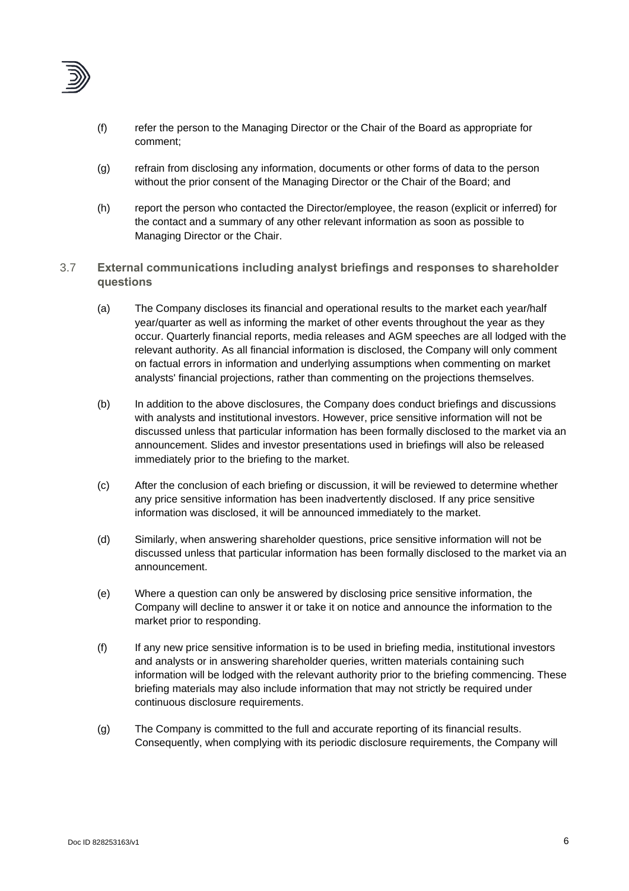

- (f) refer the person to the Managing Director or the Chair of the Board as appropriate for comment;
- (g) refrain from disclosing any information, documents or other forms of data to the person without the prior consent of the Managing Director or the Chair of the Board; and
- (h) report the person who contacted the Director/employee, the reason (explicit or inferred) for the contact and a summary of any other relevant information as soon as possible to Managing Director or the Chair.
- 3.7 **External communications including analyst briefings and responses to shareholder questions**
	- (a) The Company discloses its financial and operational results to the market each year/half year/quarter as well as informing the market of other events throughout the year as they occur. Quarterly financial reports, media releases and AGM speeches are all lodged with the relevant authority. As all financial information is disclosed, the Company will only comment on factual errors in information and underlying assumptions when commenting on market analysts' financial projections, rather than commenting on the projections themselves.
	- (b) In addition to the above disclosures, the Company does conduct briefings and discussions with analysts and institutional investors. However, price sensitive information will not be discussed unless that particular information has been formally disclosed to the market via an announcement. Slides and investor presentations used in briefings will also be released immediately prior to the briefing to the market.
	- (c) After the conclusion of each briefing or discussion, it will be reviewed to determine whether any price sensitive information has been inadvertently disclosed. If any price sensitive information was disclosed, it will be announced immediately to the market.
	- (d) Similarly, when answering shareholder questions, price sensitive information will not be discussed unless that particular information has been formally disclosed to the market via an announcement.
	- (e) Where a question can only be answered by disclosing price sensitive information, the Company will decline to answer it or take it on notice and announce the information to the market prior to responding.
	- (f) If any new price sensitive information is to be used in briefing media, institutional investors and analysts or in answering shareholder queries, written materials containing such information will be lodged with the relevant authority prior to the briefing commencing. These briefing materials may also include information that may not strictly be required under continuous disclosure requirements.
	- (g) The Company is committed to the full and accurate reporting of its financial results. Consequently, when complying with its periodic disclosure requirements, the Company will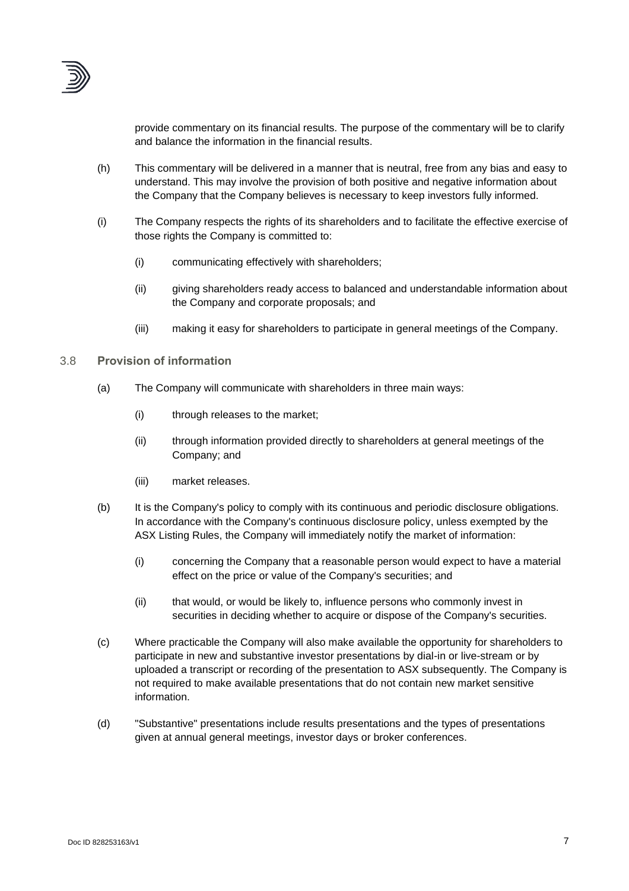

provide commentary on its financial results. The purpose of the commentary will be to clarify and balance the information in the financial results.

- (h) This commentary will be delivered in a manner that is neutral, free from any bias and easy to understand. This may involve the provision of both positive and negative information about the Company that the Company believes is necessary to keep investors fully informed.
- (i) The Company respects the rights of its shareholders and to facilitate the effective exercise of those rights the Company is committed to:
	- (i) communicating effectively with shareholders;
	- (ii) giving shareholders ready access to balanced and understandable information about the Company and corporate proposals; and
	- (iii) making it easy for shareholders to participate in general meetings of the Company.

#### 3.8 **Provision of information**

- (a) The Company will communicate with shareholders in three main ways:
	- (i) through releases to the market;
	- (ii) through information provided directly to shareholders at general meetings of the Company; and
	- (iii) market releases.
- (b) It is the Company's policy to comply with its continuous and periodic disclosure obligations. In accordance with the Company's continuous disclosure policy, unless exempted by the ASX Listing Rules, the Company will immediately notify the market of information:
	- (i) concerning the Company that a reasonable person would expect to have a material effect on the price or value of the Company's securities; and
	- (ii) that would, or would be likely to, influence persons who commonly invest in securities in deciding whether to acquire or dispose of the Company's securities.
- (c) Where practicable the Company will also make available the opportunity for shareholders to participate in new and substantive investor presentations by dial-in or live-stream or by uploaded a transcript or recording of the presentation to ASX subsequently. The Company is not required to make available presentations that do not contain new market sensitive information.
- (d) "Substantive" presentations include results presentations and the types of presentations given at annual general meetings, investor days or broker conferences.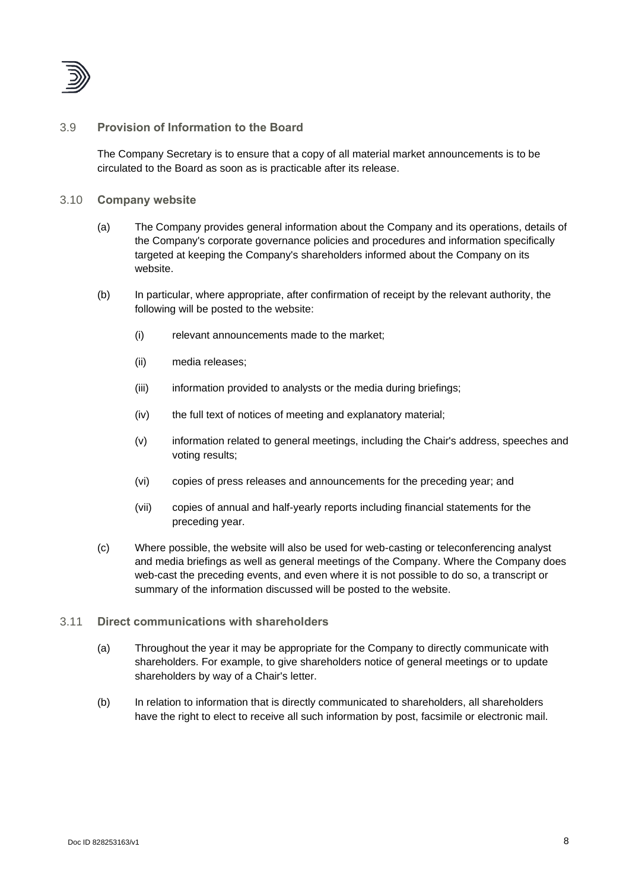

#### 3.9 **Provision of Information to the Board**

The Company Secretary is to ensure that a copy of all material market announcements is to be circulated to the Board as soon as is practicable after its release.

#### 3.10 **Company website**

- (a) The Company provides general information about the Company and its operations, details of the Company's corporate governance policies and procedures and information specifically targeted at keeping the Company's shareholders informed about the Company on its website.
- (b) In particular, where appropriate, after confirmation of receipt by the relevant authority, the following will be posted to the website:
	- (i) relevant announcements made to the market;
	- (ii) media releases;
	- (iii) information provided to analysts or the media during briefings;
	- (iv) the full text of notices of meeting and explanatory material;
	- (v) information related to general meetings, including the Chair's address, speeches and voting results;
	- (vi) copies of press releases and announcements for the preceding year; and
	- (vii) copies of annual and half-yearly reports including financial statements for the preceding year.
- (c) Where possible, the website will also be used for web-casting or teleconferencing analyst and media briefings as well as general meetings of the Company. Where the Company does web-cast the preceding events, and even where it is not possible to do so, a transcript or summary of the information discussed will be posted to the website.
- 3.11 **Direct communications with shareholders**
	- (a) Throughout the year it may be appropriate for the Company to directly communicate with shareholders. For example, to give shareholders notice of general meetings or to update shareholders by way of a Chair's letter.
	- (b) In relation to information that is directly communicated to shareholders, all shareholders have the right to elect to receive all such information by post, facsimile or electronic mail.